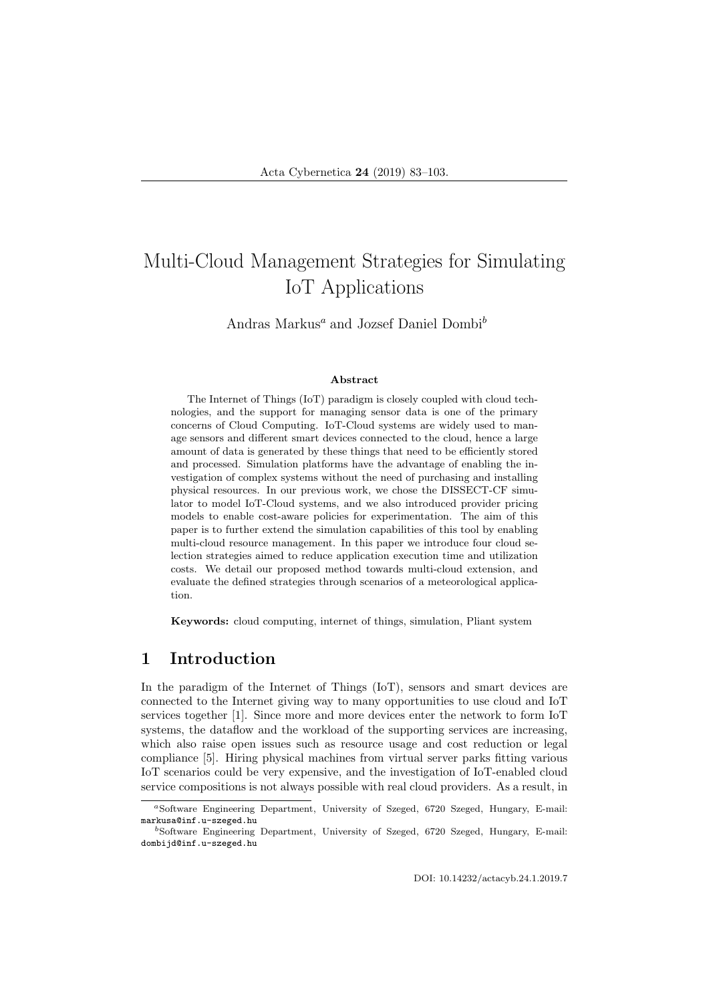# Multi-Cloud Management Strategies for Simulating IoT Applications

Andras Markus<sup>a</sup> and Jozsef Daniel Dombi<sup>b</sup>

#### Abstract

The Internet of Things (IoT) paradigm is closely coupled with cloud technologies, and the support for managing sensor data is one of the primary concerns of Cloud Computing. IoT-Cloud systems are widely used to manage sensors and different smart devices connected to the cloud, hence a large amount of data is generated by these things that need to be efficiently stored and processed. Simulation platforms have the advantage of enabling the investigation of complex systems without the need of purchasing and installing physical resources. In our previous work, we chose the DISSECT-CF simulator to model IoT-Cloud systems, and we also introduced provider pricing models to enable cost-aware policies for experimentation. The aim of this paper is to further extend the simulation capabilities of this tool by enabling multi-cloud resource management. In this paper we introduce four cloud selection strategies aimed to reduce application execution time and utilization costs. We detail our proposed method towards multi-cloud extension, and evaluate the defined strategies through scenarios of a meteorological application.

Keywords: cloud computing, internet of things, simulation, Pliant system

# 1 Introduction

In the paradigm of the Internet of Things (IoT), sensors and smart devices are connected to the Internet giving way to many opportunities to use cloud and IoT services together [1]. Since more and more devices enter the network to form IoT systems, the dataflow and the workload of the supporting services are increasing, which also raise open issues such as resource usage and cost reduction or legal compliance [5]. Hiring physical machines from virtual server parks fitting various IoT scenarios could be very expensive, and the investigation of IoT-enabled cloud service compositions is not always possible with real cloud providers. As a result, in

<sup>a</sup>Software Engineering Department, University of Szeged, 6720 Szeged, Hungary, E-mail: markusa@inf.u-szeged.hu

<sup>b</sup>Software Engineering Department, University of Szeged, 6720 Szeged, Hungary, E-mail: dombijd@inf.u-szeged.hu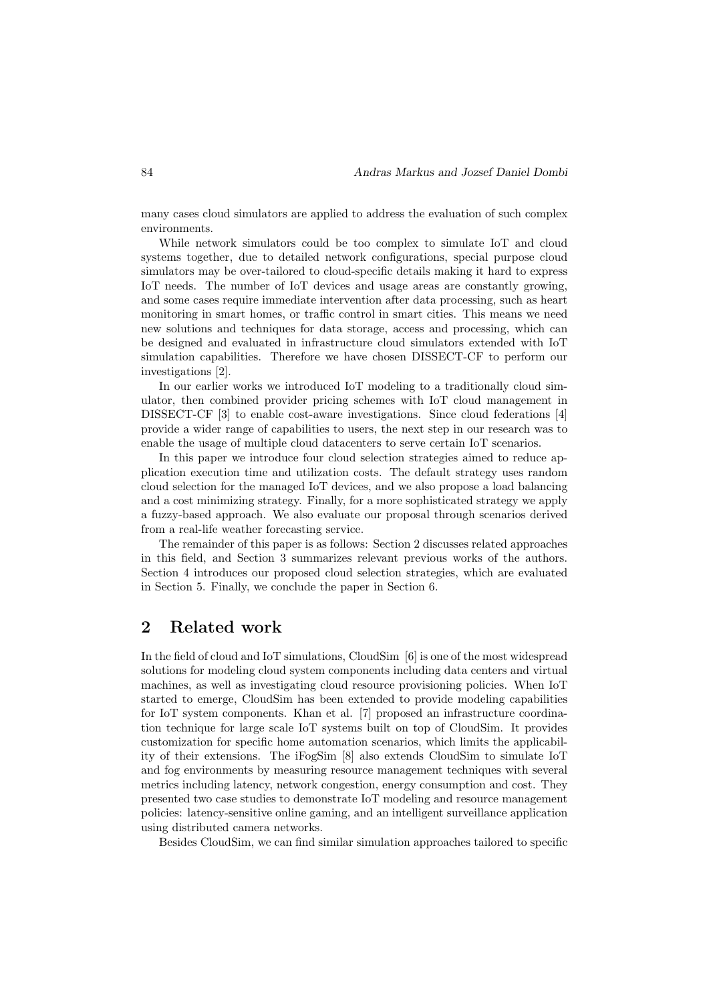many cases cloud simulators are applied to address the evaluation of such complex environments.

While network simulators could be too complex to simulate IoT and cloud systems together, due to detailed network configurations, special purpose cloud simulators may be over-tailored to cloud-specific details making it hard to express IoT needs. The number of IoT devices and usage areas are constantly growing, and some cases require immediate intervention after data processing, such as heart monitoring in smart homes, or traffic control in smart cities. This means we need new solutions and techniques for data storage, access and processing, which can be designed and evaluated in infrastructure cloud simulators extended with IoT simulation capabilities. Therefore we have chosen DISSECT-CF to perform our investigations [2].

In our earlier works we introduced IoT modeling to a traditionally cloud simulator, then combined provider pricing schemes with IoT cloud management in DISSECT-CF [3] to enable cost-aware investigations. Since cloud federations [4] provide a wider range of capabilities to users, the next step in our research was to enable the usage of multiple cloud datacenters to serve certain IoT scenarios.

In this paper we introduce four cloud selection strategies aimed to reduce application execution time and utilization costs. The default strategy uses random cloud selection for the managed IoT devices, and we also propose a load balancing and a cost minimizing strategy. Finally, for a more sophisticated strategy we apply a fuzzy-based approach. We also evaluate our proposal through scenarios derived from a real-life weather forecasting service.

The remainder of this paper is as follows: Section 2 discusses related approaches in this field, and Section 3 summarizes relevant previous works of the authors. Section 4 introduces our proposed cloud selection strategies, which are evaluated in Section 5. Finally, we conclude the paper in Section 6.

# 2 Related work

In the field of cloud and IoT simulations, CloudSim [6] is one of the most widespread solutions for modeling cloud system components including data centers and virtual machines, as well as investigating cloud resource provisioning policies. When IoT started to emerge, CloudSim has been extended to provide modeling capabilities for IoT system components. Khan et al. [7] proposed an infrastructure coordination technique for large scale IoT systems built on top of CloudSim. It provides customization for specific home automation scenarios, which limits the applicability of their extensions. The iFogSim [8] also extends CloudSim to simulate IoT and fog environments by measuring resource management techniques with several metrics including latency, network congestion, energy consumption and cost. They presented two case studies to demonstrate IoT modeling and resource management policies: latency-sensitive online gaming, and an intelligent surveillance application using distributed camera networks.

Besides CloudSim, we can find similar simulation approaches tailored to specific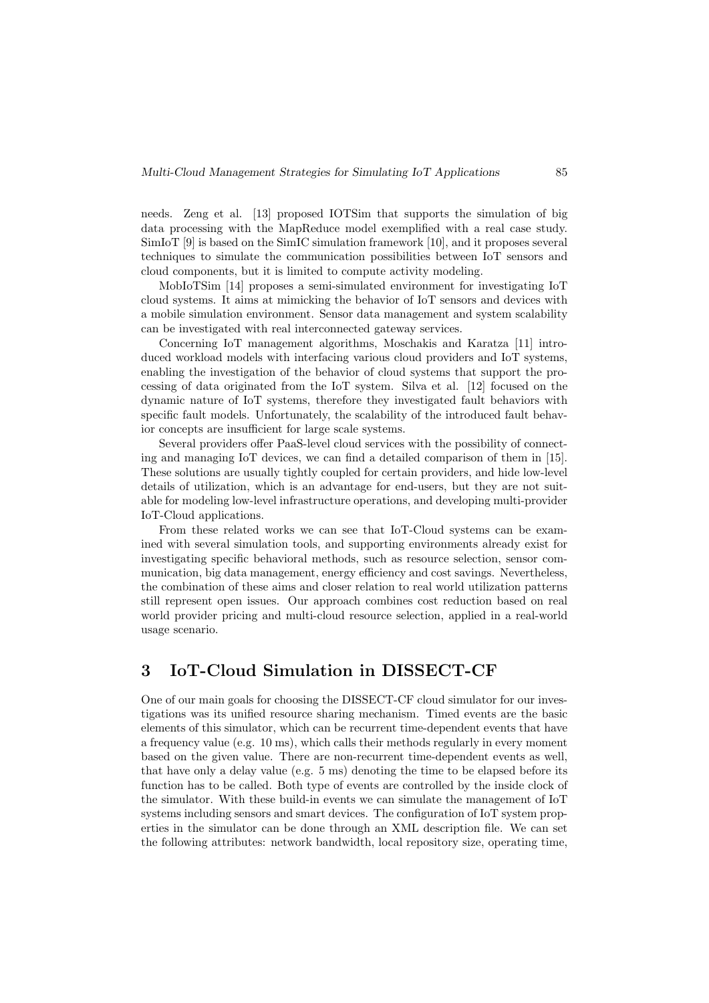needs. Zeng et al. [13] proposed IOTSim that supports the simulation of big data processing with the MapReduce model exemplified with a real case study. SimIoT [9] is based on the SimIC simulation framework [10], and it proposes several techniques to simulate the communication possibilities between IoT sensors and cloud components, but it is limited to compute activity modeling.

MobIoTSim [14] proposes a semi-simulated environment for investigating IoT cloud systems. It aims at mimicking the behavior of IoT sensors and devices with a mobile simulation environment. Sensor data management and system scalability can be investigated with real interconnected gateway services.

Concerning IoT management algorithms, Moschakis and Karatza [11] introduced workload models with interfacing various cloud providers and IoT systems, enabling the investigation of the behavior of cloud systems that support the processing of data originated from the IoT system. Silva et al. [12] focused on the dynamic nature of IoT systems, therefore they investigated fault behaviors with specific fault models. Unfortunately, the scalability of the introduced fault behavior concepts are insufficient for large scale systems.

Several providers offer PaaS-level cloud services with the possibility of connecting and managing IoT devices, we can find a detailed comparison of them in [15]. These solutions are usually tightly coupled for certain providers, and hide low-level details of utilization, which is an advantage for end-users, but they are not suitable for modeling low-level infrastructure operations, and developing multi-provider IoT-Cloud applications.

From these related works we can see that IoT-Cloud systems can be examined with several simulation tools, and supporting environments already exist for investigating specific behavioral methods, such as resource selection, sensor communication, big data management, energy efficiency and cost savings. Nevertheless, the combination of these aims and closer relation to real world utilization patterns still represent open issues. Our approach combines cost reduction based on real world provider pricing and multi-cloud resource selection, applied in a real-world usage scenario.

# 3 IoT-Cloud Simulation in DISSECT-CF

One of our main goals for choosing the DISSECT-CF cloud simulator for our investigations was its unified resource sharing mechanism. Timed events are the basic elements of this simulator, which can be recurrent time-dependent events that have a frequency value (e.g. 10 ms), which calls their methods regularly in every moment based on the given value. There are non-recurrent time-dependent events as well, that have only a delay value (e.g. 5 ms) denoting the time to be elapsed before its function has to be called. Both type of events are controlled by the inside clock of the simulator. With these build-in events we can simulate the management of IoT systems including sensors and smart devices. The configuration of IoT system properties in the simulator can be done through an XML description file. We can set the following attributes: network bandwidth, local repository size, operating time,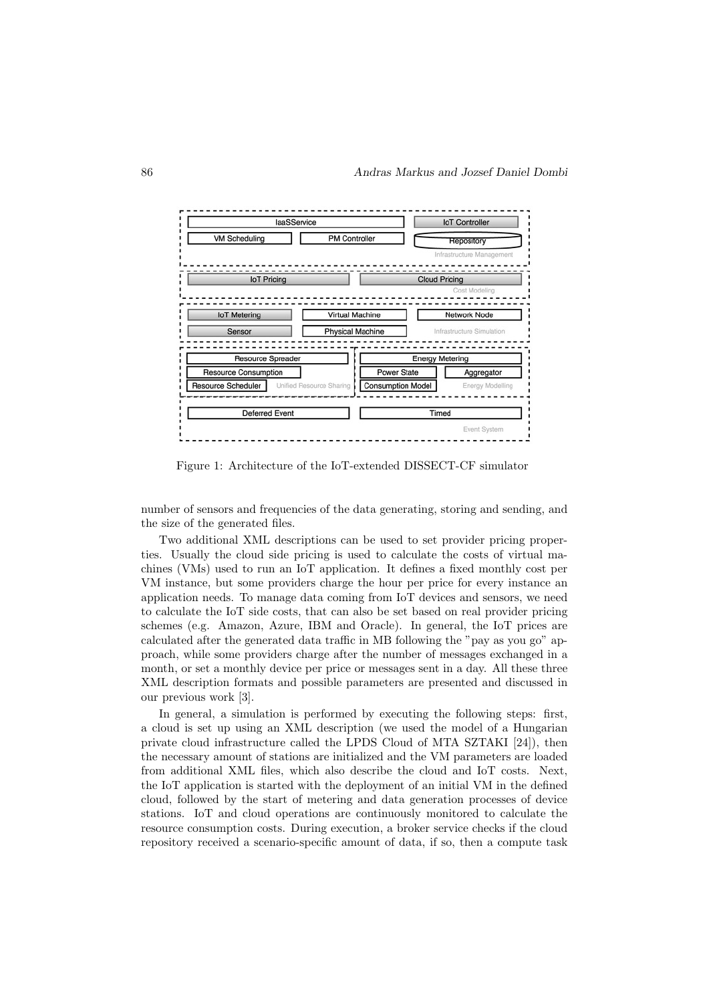

Figure 1: Architecture of the IoT-extended DISSECT-CF simulator

number of sensors and frequencies of the data generating, storing and sending, and the size of the generated files.

Two additional XML descriptions can be used to set provider pricing properties. Usually the cloud side pricing is used to calculate the costs of virtual machines (VMs) used to run an IoT application. It defines a fixed monthly cost per VM instance, but some providers charge the hour per price for every instance an application needs. To manage data coming from IoT devices and sensors, we need to calculate the IoT side costs, that can also be set based on real provider pricing schemes (e.g. Amazon, Azure, IBM and Oracle). In general, the IoT prices are calculated after the generated data traffic in MB following the "pay as you go" approach, while some providers charge after the number of messages exchanged in a month, or set a monthly device per price or messages sent in a day. All these three XML description formats and possible parameters are presented and discussed in our previous work [3].

In general, a simulation is performed by executing the following steps: first, a cloud is set up using an XML description (we used the model of a Hungarian private cloud infrastructure called the LPDS Cloud of MTA SZTAKI [24]), then the necessary amount of stations are initialized and the VM parameters are loaded from additional XML files, which also describe the cloud and IoT costs. Next, the IoT application is started with the deployment of an initial VM in the defined cloud, followed by the start of metering and data generation processes of device stations. IoT and cloud operations are continuously monitored to calculate the resource consumption costs. During execution, a broker service checks if the cloud repository received a scenario-specific amount of data, if so, then a compute task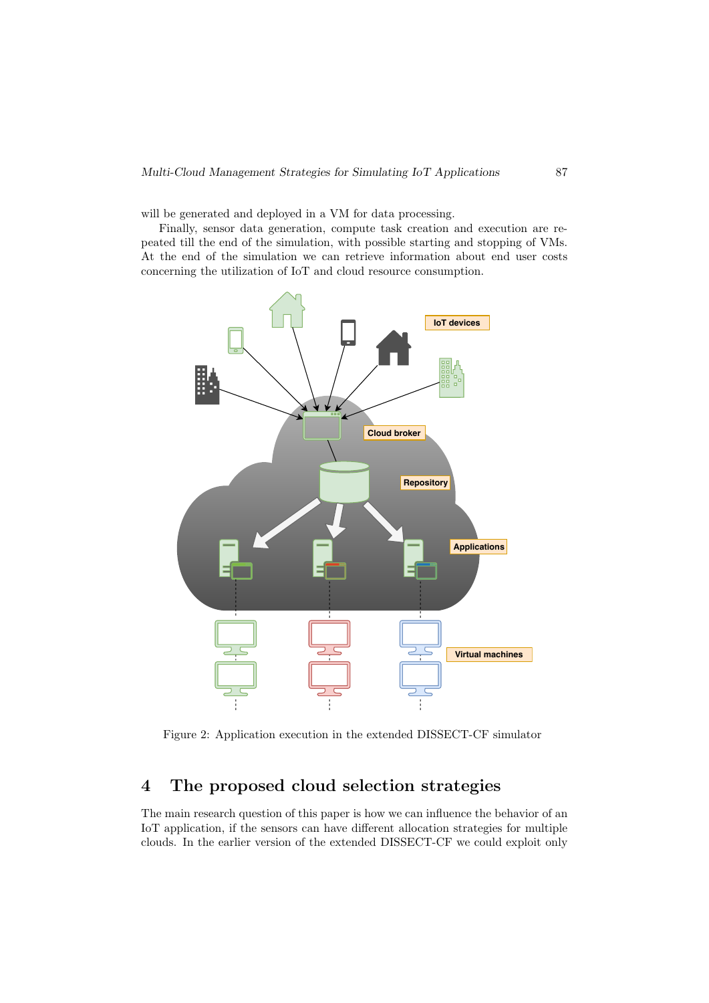will be generated and deployed in a VM for data processing.

Finally, sensor data generation, compute task creation and execution are repeated till the end of the simulation, with possible starting and stopping of VMs. At the end of the simulation we can retrieve information about end user costs concerning the utilization of IoT and cloud resource consumption.



Figure 2: Application execution in the extended DISSECT-CF simulator

# 4 The proposed cloud selection strategies

The main research question of this paper is how we can influence the behavior of an IoT application, if the sensors can have different allocation strategies for multiple clouds. In the earlier version of the extended DISSECT-CF we could exploit only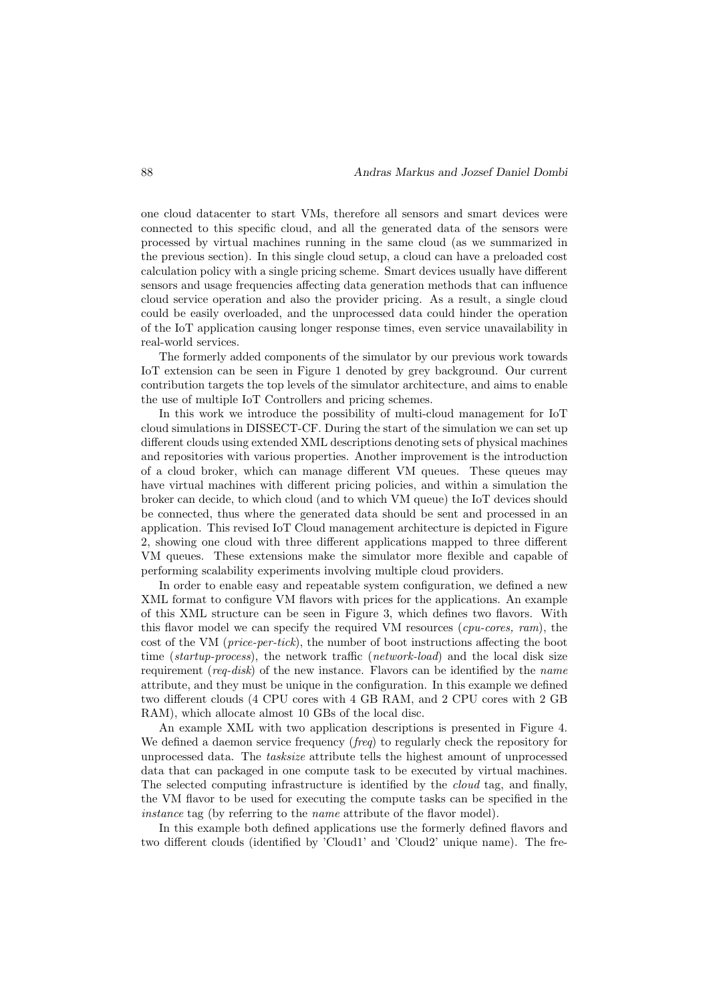one cloud datacenter to start VMs, therefore all sensors and smart devices were connected to this specific cloud, and all the generated data of the sensors were processed by virtual machines running in the same cloud (as we summarized in the previous section). In this single cloud setup, a cloud can have a preloaded cost calculation policy with a single pricing scheme. Smart devices usually have different sensors and usage frequencies affecting data generation methods that can influence cloud service operation and also the provider pricing. As a result, a single cloud could be easily overloaded, and the unprocessed data could hinder the operation of the IoT application causing longer response times, even service unavailability in real-world services.

The formerly added components of the simulator by our previous work towards IoT extension can be seen in Figure 1 denoted by grey background. Our current contribution targets the top levels of the simulator architecture, and aims to enable the use of multiple IoT Controllers and pricing schemes.

In this work we introduce the possibility of multi-cloud management for IoT cloud simulations in DISSECT-CF. During the start of the simulation we can set up different clouds using extended XML descriptions denoting sets of physical machines and repositories with various properties. Another improvement is the introduction of a cloud broker, which can manage different VM queues. These queues may have virtual machines with different pricing policies, and within a simulation the broker can decide, to which cloud (and to which VM queue) the IoT devices should be connected, thus where the generated data should be sent and processed in an application. This revised IoT Cloud management architecture is depicted in Figure 2, showing one cloud with three different applications mapped to three different VM queues. These extensions make the simulator more flexible and capable of performing scalability experiments involving multiple cloud providers.

In order to enable easy and repeatable system configuration, we defined a new XML format to configure VM flavors with prices for the applications. An example of this XML structure can be seen in Figure 3, which defines two flavors. With this flavor model we can specify the required VM resources  $(cpu\text{-}cores, ram)$ , the cost of the VM (price-per-tick), the number of boot instructions affecting the boot time (startup-process), the network traffic (network-load) and the local disk size requirement ( $req\text{-}disk$ ) of the new instance. Flavors can be identified by the *name* attribute, and they must be unique in the configuration. In this example we defined two different clouds (4 CPU cores with 4 GB RAM, and 2 CPU cores with 2 GB RAM), which allocate almost 10 GBs of the local disc.

An example XML with two application descriptions is presented in Figure 4. We defined a daemon service frequency (*freq*) to regularly check the repository for unprocessed data. The *tasksize* attribute tells the highest amount of unprocessed data that can packaged in one compute task to be executed by virtual machines. The selected computing infrastructure is identified by the cloud tag, and finally, the VM flavor to be used for executing the compute tasks can be specified in the instance tag (by referring to the *name* attribute of the flavor model).

In this example both defined applications use the formerly defined flavors and two different clouds (identified by 'Cloud1' and 'Cloud2' unique name). The fre-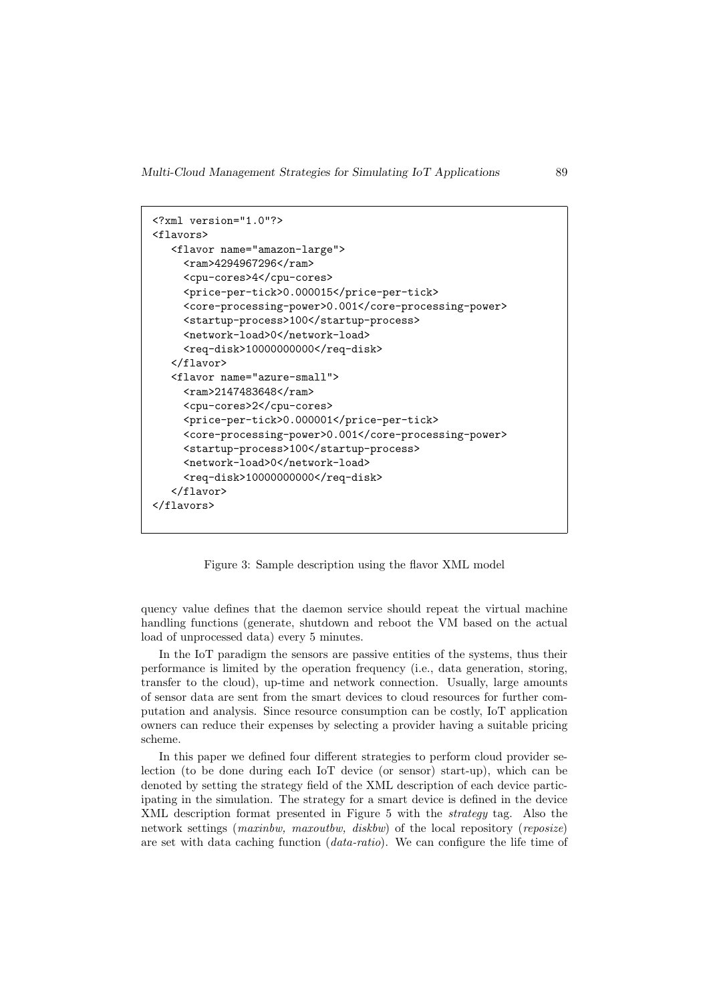```
<?xml version="1.0"?>
<flavors>
  <flavor name="amazon-large">
    <ram>4294967296</ram>
     <cpu-cores>4</cpu-cores>
     <price-per-tick>0.000015</price-per-tick>
     <core-processing-power>0.001</core-processing-power>
     <startup-process>100</startup-process>
     <network-load>0</network-load>
     <req-disk>10000000000</req-disk>
  </flavor>
   <flavor name="azure-small">
     <ram>2147483648</ram>
     <cpu-cores>2</cpu-cores>
     <price-per-tick>0.000001</price-per-tick>
     <core-processing-power>0.001</core-processing-power>
     <startup-process>100</startup-process>
     <network-load>0</network-load>
     <req-disk>10000000000</req-disk>
  </flavor>
</flavors>
```
Figure 3: Sample description using the flavor XML model

quency value defines that the daemon service should repeat the virtual machine handling functions (generate, shutdown and reboot the VM based on the actual load of unprocessed data) every 5 minutes.

In the IoT paradigm the sensors are passive entities of the systems, thus their performance is limited by the operation frequency (i.e., data generation, storing, transfer to the cloud), up-time and network connection. Usually, large amounts of sensor data are sent from the smart devices to cloud resources for further computation and analysis. Since resource consumption can be costly, IoT application owners can reduce their expenses by selecting a provider having a suitable pricing scheme.

In this paper we defined four different strategies to perform cloud provider selection (to be done during each IoT device (or sensor) start-up), which can be denoted by setting the strategy field of the XML description of each device participating in the simulation. The strategy for a smart device is defined in the device XML description format presented in Figure 5 with the strategy tag. Also the network settings (maxinbw, maxoutbw, diskbw) of the local repository (reposize) are set with data caching function (data-ratio). We can configure the life time of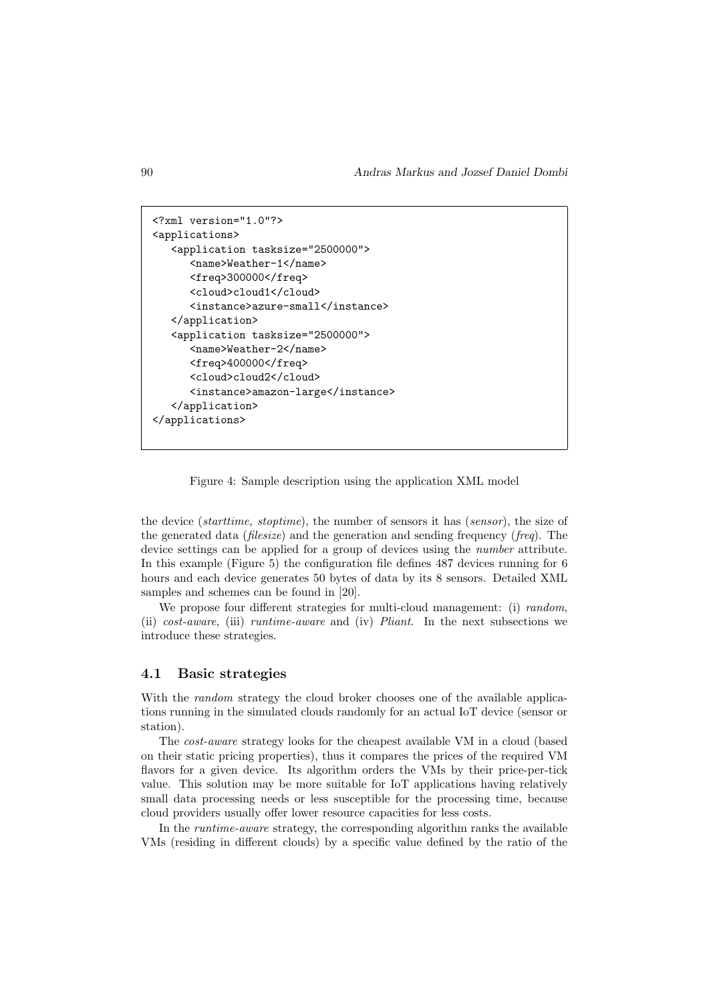```
<?xml version="1.0"?>
<applications>
   <application tasksize="2500000">
      <name>Weather-1</name>
      <freq>300000</freq>
      <cloud>cloud1</cloud>
      <instance>azure-small</instance>
   </application>
   <application tasksize="2500000">
      <name>Weather-2</name>
      <freq>400000</freq>
      <cloud>cloud2</cloud>
      <instance>amazon-large</instance>
   </application>
</applications>
```
Figure 4: Sample description using the application XML model

the device (starttime, stoptime), the number of sensors it has (sensor), the size of the generated data (filesize) and the generation and sending frequency (freq). The device settings can be applied for a group of devices using the number attribute. In this example (Figure 5) the configuration file defines 487 devices running for 6 hours and each device generates 50 bytes of data by its 8 sensors. Detailed XML samples and schemes can be found in [20].

We propose four different strategies for multi-cloud management: (i) random, (ii)  $cost-aware$ , (iii) runtime-aware and (iv) Pliant. In the next subsections we introduce these strategies.

## 4.1 Basic strategies

With the *random* strategy the cloud broker chooses one of the available applications running in the simulated clouds randomly for an actual IoT device (sensor or station).

The cost-aware strategy looks for the cheapest available VM in a cloud (based on their static pricing properties), thus it compares the prices of the required VM flavors for a given device. Its algorithm orders the VMs by their price-per-tick value. This solution may be more suitable for IoT applications having relatively small data processing needs or less susceptible for the processing time, because cloud providers usually offer lower resource capacities for less costs.

In the runtime-aware strategy, the corresponding algorithm ranks the available VMs (residing in different clouds) by a specific value defined by the ratio of the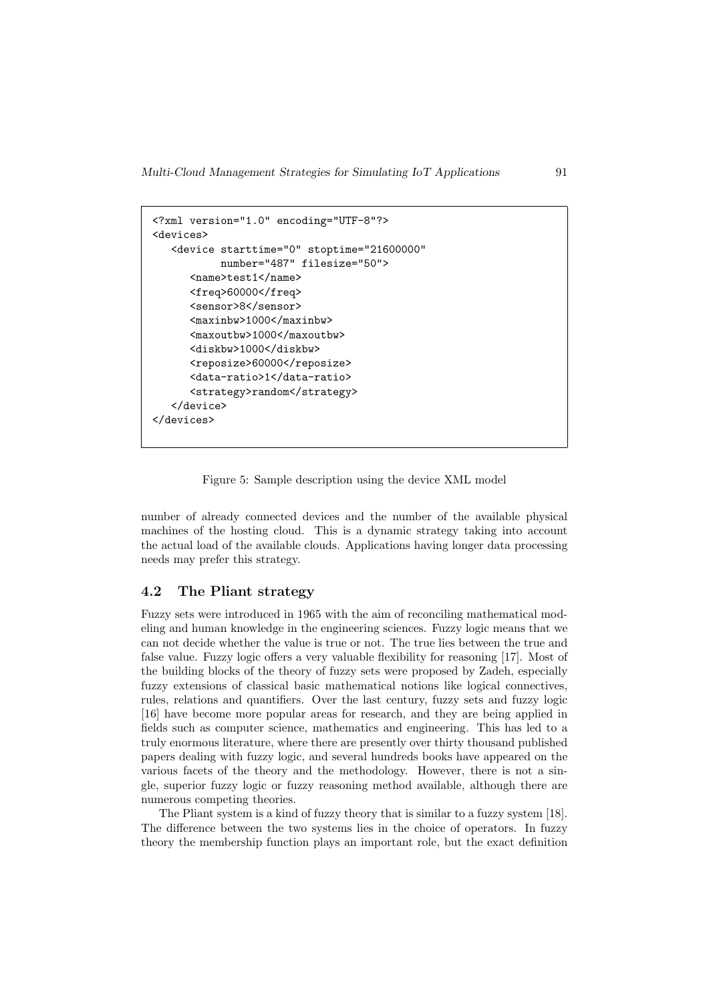```
<?xml version="1.0" encoding="UTF-8"?>
<devices>
   <device starttime="0" stoptime="21600000"
           number="487" filesize="50">
      <name>test1</name>
      <freq>60000</freq>
      <sensor>8</sensor>
      <maxinbw>1000</maxinbw>
      <maxoutbw>1000</maxoutbw>
      <diskbw>1000</diskbw>
      <reposize>60000</reposize>
      <data-ratio>1</data-ratio>
      <strategy>random</strategy>
   </device>
</devices>
```
Figure 5: Sample description using the device XML model

number of already connected devices and the number of the available physical machines of the hosting cloud. This is a dynamic strategy taking into account the actual load of the available clouds. Applications having longer data processing needs may prefer this strategy.

## 4.2 The Pliant strategy

Fuzzy sets were introduced in 1965 with the aim of reconciling mathematical modeling and human knowledge in the engineering sciences. Fuzzy logic means that we can not decide whether the value is true or not. The true lies between the true and false value. Fuzzy logic offers a very valuable flexibility for reasoning [17]. Most of the building blocks of the theory of fuzzy sets were proposed by Zadeh, especially fuzzy extensions of classical basic mathematical notions like logical connectives, rules, relations and quantifiers. Over the last century, fuzzy sets and fuzzy logic [16] have become more popular areas for research, and they are being applied in fields such as computer science, mathematics and engineering. This has led to a truly enormous literature, where there are presently over thirty thousand published papers dealing with fuzzy logic, and several hundreds books have appeared on the various facets of the theory and the methodology. However, there is not a single, superior fuzzy logic or fuzzy reasoning method available, although there are numerous competing theories.

The Pliant system is a kind of fuzzy theory that is similar to a fuzzy system [18]. The difference between the two systems lies in the choice of operators. In fuzzy theory the membership function plays an important role, but the exact definition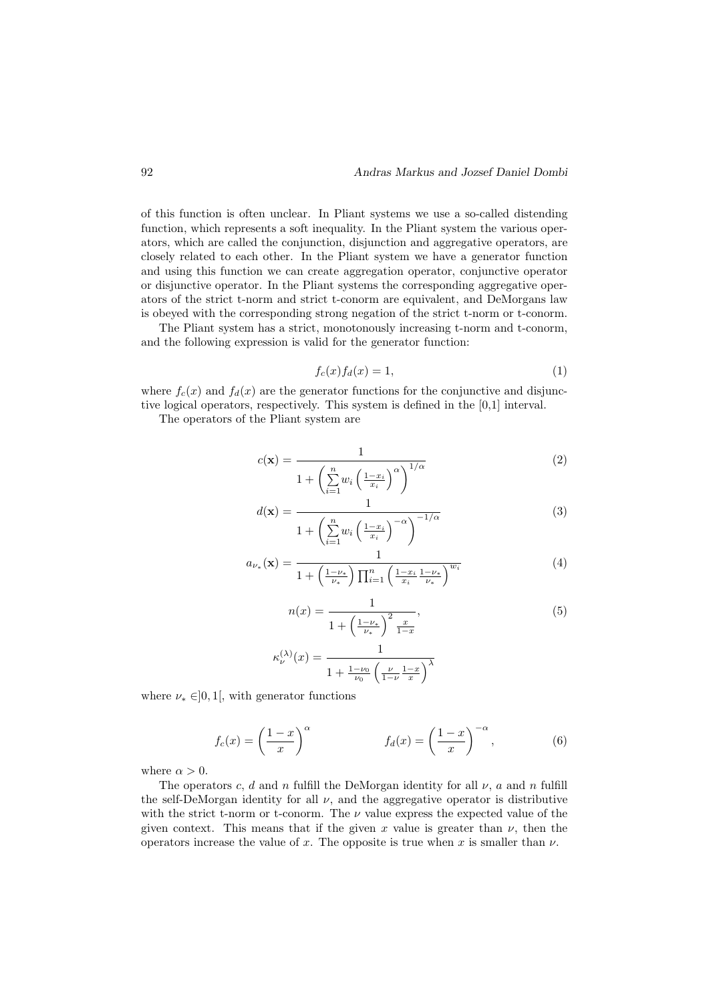of this function is often unclear. In Pliant systems we use a so-called distending function, which represents a soft inequality. In the Pliant system the various operators, which are called the conjunction, disjunction and aggregative operators, are closely related to each other. In the Pliant system we have a generator function and using this function we can create aggregation operator, conjunctive operator or disjunctive operator. In the Pliant systems the corresponding aggregative operators of the strict t-norm and strict t-conorm are equivalent, and DeMorgans law is obeyed with the corresponding strong negation of the strict t-norm or t-conorm.

The Pliant system has a strict, monotonously increasing t-norm and t-conorm, and the following expression is valid for the generator function:

$$
f_c(x)f_d(x) = 1,\t\t(1)
$$

where  $f_c(x)$  and  $f_d(x)$  are the generator functions for the conjunctive and disjunctive logical operators, respectively. This system is defined in the [0,1] interval.

The operators of the Pliant system are

$$
c(\mathbf{x}) = \frac{1}{1 + \left(\sum_{i=1}^{n} w_i \left(\frac{1 - x_i}{x_i}\right)^{\alpha}\right)^{1/\alpha}}
$$
(2)

$$
d(\mathbf{x}) = \frac{1}{1 + \left(\sum_{i=1}^{n} w_i \left(\frac{1 - x_i}{x_i}\right)^{-\alpha}\right)^{-1/\alpha}}
$$
(3)

$$
a_{\nu_{*}}(\mathbf{x}) = \frac{1}{1 + \left(\frac{1 - \nu_{*}}{\nu_{*}}\right) \prod_{i=1}^{n} \left(\frac{1 - x_{i}}{x_{i}} \frac{1 - \nu_{*}}{\nu_{*}}\right)^{w_{i}}}
$$
(4)

$$
n(x) = \frac{1}{1 + \left(\frac{1 - \nu_*}{\nu_*}\right)^2 \frac{x}{1 - x}},\tag{5}
$$

$$
\kappa_{\nu}^{(\lambda)}(x)=\frac{1}{1+\frac{1-\nu_0}{\nu_0}\left(\frac{\nu}{1-\nu}\frac{1-x}{x}\right)^\lambda}
$$

where  $\nu_* \in ]0,1[$ , with generator functions

$$
f_c(x) = \left(\frac{1-x}{x}\right)^\alpha \qquad f_d(x) = \left(\frac{1-x}{x}\right)^{-\alpha},\tag{6}
$$

where  $\alpha > 0$ .

The operators c, d and n fulfill the DeMorgan identity for all  $\nu$ , a and n fulfill the self-DeMorgan identity for all  $\nu$ , and the aggregative operator is distributive with the strict t-norm or t-conorm. The  $\nu$  value express the expected value of the given context. This means that if the given x value is greater than  $\nu$ , then the operators increase the value of x. The opposite is true when x is smaller than  $\nu$ .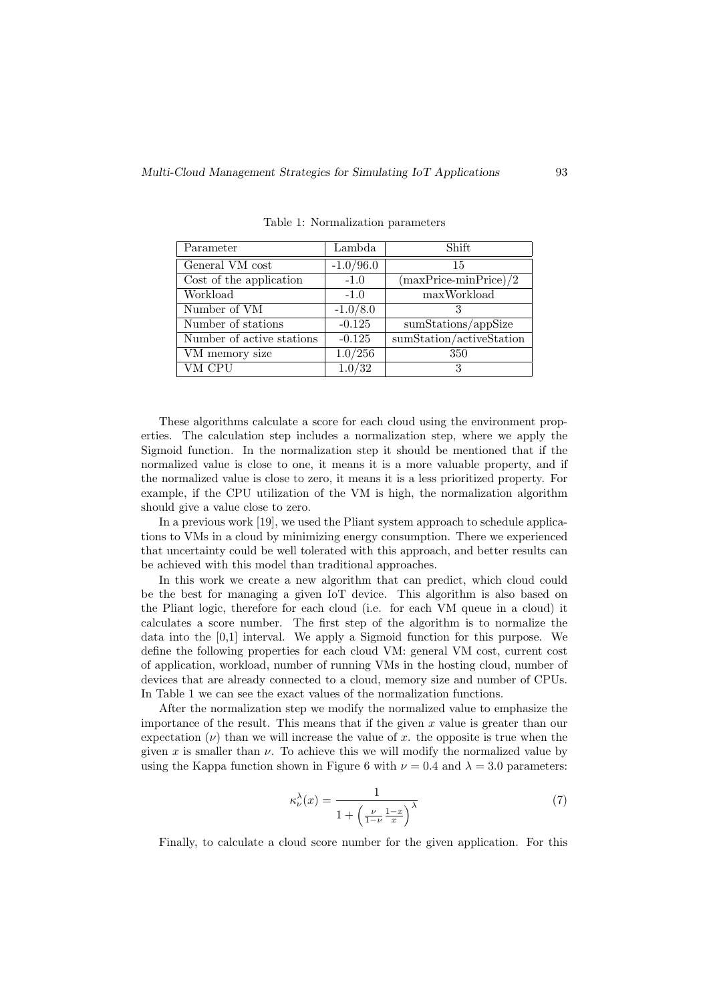| Parameter                 | Lambda      | Shift                          |
|---------------------------|-------------|--------------------------------|
| General VM cost           | $-1.0/96.0$ | 15                             |
| Cost of the application   | $-1.0$      | $(\text{maxPrice-minPrice})/2$ |
| Workload                  | $-1.0$      | maxWorkload                    |
| Number of VM              | $-1.0/8.0$  |                                |
| Number of stations        | $-0.125$    | sumStations/appSize            |
| Number of active stations | $-0.125$    | sumStation/activeStation       |
| VM memory size            | 1.0/256     | 350                            |
| VM CPU                    | 1.0/32      | 3                              |

Table 1: Normalization parameters

These algorithms calculate a score for each cloud using the environment properties. The calculation step includes a normalization step, where we apply the Sigmoid function. In the normalization step it should be mentioned that if the normalized value is close to one, it means it is a more valuable property, and if the normalized value is close to zero, it means it is a less prioritized property. For example, if the CPU utilization of the VM is high, the normalization algorithm should give a value close to zero.

In a previous work [19], we used the Pliant system approach to schedule applications to VMs in a cloud by minimizing energy consumption. There we experienced that uncertainty could be well tolerated with this approach, and better results can be achieved with this model than traditional approaches.

In this work we create a new algorithm that can predict, which cloud could be the best for managing a given IoT device. This algorithm is also based on the Pliant logic, therefore for each cloud (i.e. for each VM queue in a cloud) it calculates a score number. The first step of the algorithm is to normalize the data into the [0,1] interval. We apply a Sigmoid function for this purpose. We define the following properties for each cloud VM: general VM cost, current cost of application, workload, number of running VMs in the hosting cloud, number of devices that are already connected to a cloud, memory size and number of CPUs. In Table 1 we can see the exact values of the normalization functions.

After the normalization step we modify the normalized value to emphasize the importance of the result. This means that if the given  $x$  value is greater than our expectation  $(\nu)$  than we will increase the value of x. the opposite is true when the given x is smaller than  $\nu$ . To achieve this we will modify the normalized value by using the Kappa function shown in Figure 6 with  $\nu = 0.4$  and  $\lambda = 3.0$  parameters:

$$
\kappa_{\nu}^{\lambda}(x) = \frac{1}{1 + \left(\frac{\nu}{1 - \nu} \frac{1 - x}{x}\right)^{\lambda}}
$$
(7)

Finally, to calculate a cloud score number for the given application. For this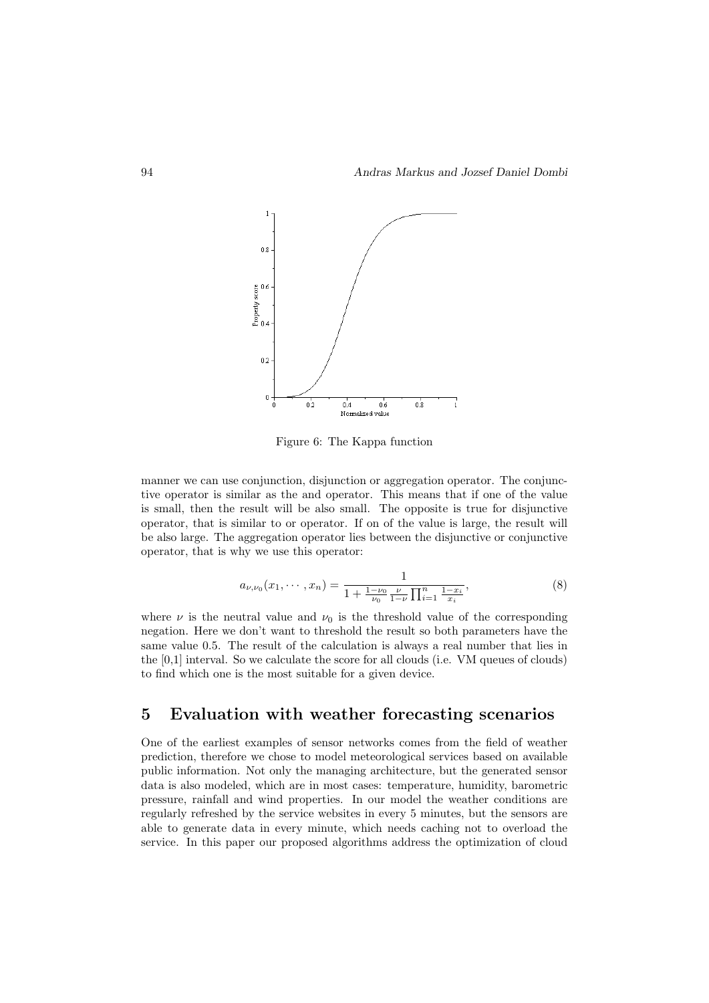

Figure 6: The Kappa function

manner we can use conjunction, disjunction or aggregation operator. The conjunctive operator is similar as the and operator. This means that if one of the value is small, then the result will be also small. The opposite is true for disjunctive operator, that is similar to or operator. If on of the value is large, the result will be also large. The aggregation operator lies between the disjunctive or conjunctive operator, that is why we use this operator:

$$
a_{\nu,\nu_0}(x_1,\cdots,x_n) = \frac{1}{1 + \frac{1-\nu_0}{\nu_0} \frac{\nu}{1-\nu} \prod_{i=1}^n \frac{1-x_i}{x_i}},\tag{8}
$$

where  $\nu$  is the neutral value and  $\nu_0$  is the threshold value of the corresponding negation. Here we don't want to threshold the result so both parameters have the same value 0.5. The result of the calculation is always a real number that lies in the [0,1] interval. So we calculate the score for all clouds (i.e. VM queues of clouds) to find which one is the most suitable for a given device.

## 5 Evaluation with weather forecasting scenarios

One of the earliest examples of sensor networks comes from the field of weather prediction, therefore we chose to model meteorological services based on available public information. Not only the managing architecture, but the generated sensor data is also modeled, which are in most cases: temperature, humidity, barometric pressure, rainfall and wind properties. In our model the weather conditions are regularly refreshed by the service websites in every 5 minutes, but the sensors are able to generate data in every minute, which needs caching not to overload the service. In this paper our proposed algorithms address the optimization of cloud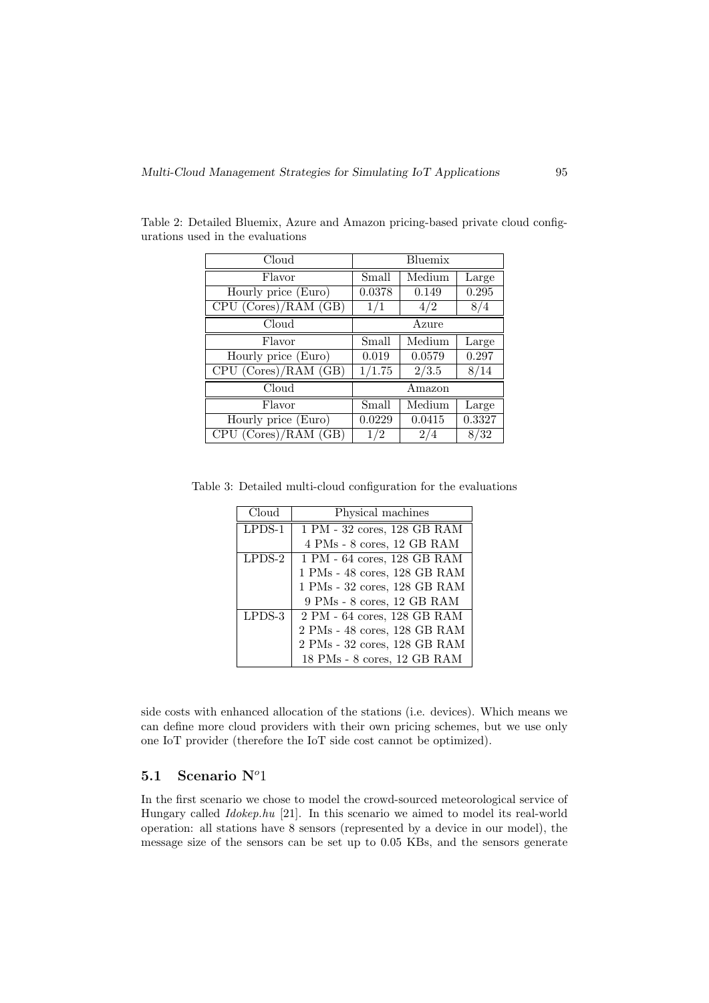| Cloud                |        | Bluemix |        |
|----------------------|--------|---------|--------|
| Flavor               | Small  | Medium  | Large  |
| Hourly price (Euro)  | 0.0378 | 0.149   | 0.295  |
| CPU (Cores)/RAM (GB) | 1/1    | 4/2     | 8/4    |
| Cloud                |        | Azure   |        |
| Flavor               | Small  | Medium  | Large  |
| Hourly price (Euro)  | 0.019  | 0.0579  | 0.297  |
| CPU (Cores)/RAM (GB) | 1/1.75 | 2/3.5   | 8/14   |
| Cloud                |        | Amazon  |        |
| Flavor               | Small  | Medium  | Large  |
| Hourly price (Euro)  | 0.0229 | 0.0415  | 0.3327 |
| CPU (Cores)/RAM (GB) | 1/2    | 2/4     | 8/32   |

Table 2: Detailed Bluemix, Azure and Amazon pricing-based private cloud configurations used in the evaluations

Table 3: Detailed multi-cloud configuration for the evaluations

| Cloud    | Physical machines                                     |
|----------|-------------------------------------------------------|
| $LPDS-1$ | 1 PM - 32 cores, 128 GB RAM                           |
|          | 4 PMs - 8 cores, 12 GB RAM                            |
| $LPDS-2$ | 1 PM - 64 cores, 128 GB RAM                           |
|          | 1 PMs - 48 cores, 128 GB RAM                          |
|          | 1 PMs - 32 cores, 128 GB RAM                          |
|          | 9 PMs - 8 cores, 12 GB RAM                            |
| LPDS-3   | $2$ PM - $64$ cores, $128$ GB $\overline{\text{RAM}}$ |
|          | 2 PMs - 48 cores, 128 GB RAM                          |
|          | 2 PMs - 32 cores, 128 GB RAM                          |
|          | 18 PMs - 8 cores, 12 GB RAM                           |

side costs with enhanced allocation of the stations (i.e. devices). Which means we can define more cloud providers with their own pricing schemes, but we use only one IoT provider (therefore the IoT side cost cannot be optimized).

## 5.1 Scenario  $N^o1$

In the first scenario we chose to model the crowd-sourced meteorological service of Hungary called Idokep.hu [21]. In this scenario we aimed to model its real-world operation: all stations have 8 sensors (represented by a device in our model), the message size of the sensors can be set up to 0.05 KBs, and the sensors generate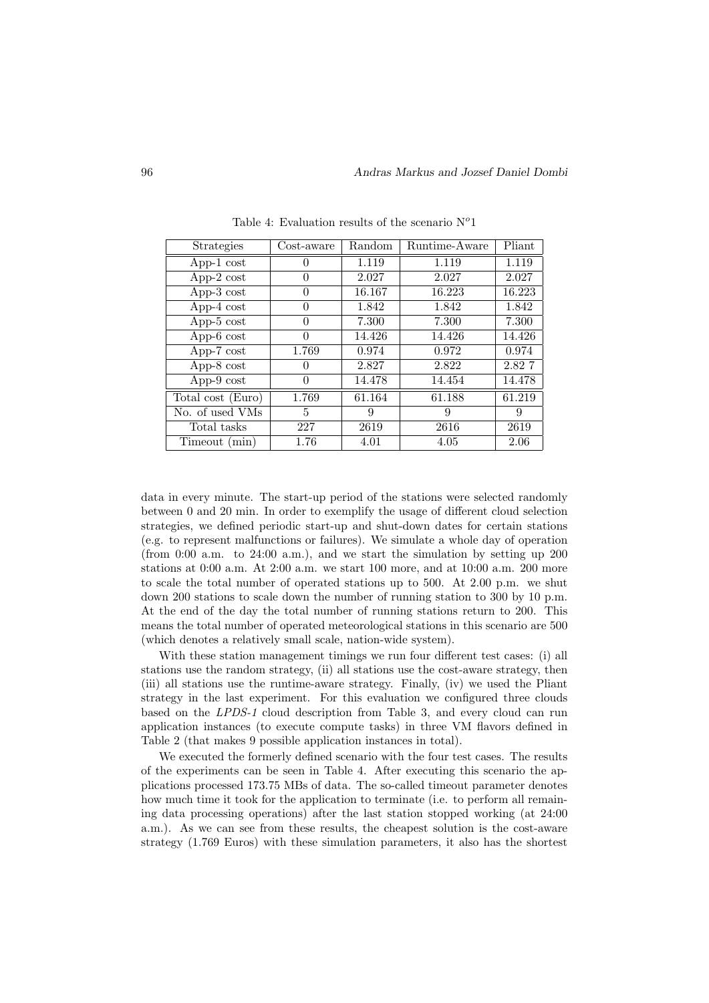| <b>Strategies</b>     | $\cos t$ -aware  | Random | $\overline{\text{R}}$ untime-Aware | Pliant |
|-----------------------|------------------|--------|------------------------------------|--------|
| App-1 $cost$          | 0                | 1.119  | 1.119                              | 1.119  |
| App-2 $cost$          | $\left( \right)$ | 2.027  | 2.027                              | 2.027  |
| App- $3 \text{ cost}$ | $\Omega$         | 16.167 | 16.223                             | 16.223 |
| App-4 $cost$          | 0                | 1.842  | 1.842                              | 1.842  |
| App- $5 \text{ cost}$ | $\theta$         | 7.300  | 7.300                              | 7.300  |
| App- $6 \text{ cost}$ | $\Omega$         | 14.426 | 14.426                             | 14.426 |
| App- $7 \text{ cost}$ | 1.769            | 0.974  | 0.972                              | 0.974  |
| App- $8 \text{ cost}$ |                  | 2.827  | 2.822                              | 2.827  |
| App- $9$ cost         | 0                | 14.478 | 14.454                             | 14.478 |
| Total cost (Euro)     | 1.769            | 61.164 | 61.188                             | 61.219 |
| No. of used VMs       | 5                | 9      | 9                                  | 9      |
| Total tasks           | 227              | 2619   | 2616                               | 2619   |
| Timeout (min)         | 1.76             | 4.01   | 4.05                               | 2.06   |

Table 4: Evaluation results of the scenario  $N^o1$ 

data in every minute. The start-up period of the stations were selected randomly between 0 and 20 min. In order to exemplify the usage of different cloud selection strategies, we defined periodic start-up and shut-down dates for certain stations (e.g. to represent malfunctions or failures). We simulate a whole day of operation (from  $0:00$  a.m. to  $24:00$  a.m.), and we start the simulation by setting up  $200$ stations at  $0:00$  a.m. At  $2:00$  a.m. we start 100 more, and at  $10:00$  a.m. 200 more to scale the total number of operated stations up to 500. At 2.00 p.m. we shut down 200 stations to scale down the number of running station to 300 by 10 p.m. At the end of the day the total number of running stations return to 200. This means the total number of operated meteorological stations in this scenario are 500 (which denotes a relatively small scale, nation-wide system).

With these station management timings we run four different test cases: (i) all stations use the random strategy, (ii) all stations use the cost-aware strategy, then (iii) all stations use the runtime-aware strategy. Finally, (iv) we used the Pliant strategy in the last experiment. For this evaluation we configured three clouds based on the LPDS-1 cloud description from Table 3, and every cloud can run application instances (to execute compute tasks) in three VM flavors defined in Table 2 (that makes 9 possible application instances in total).

We executed the formerly defined scenario with the four test cases. The results of the experiments can be seen in Table 4. After executing this scenario the applications processed 173.75 MBs of data. The so-called timeout parameter denotes how much time it took for the application to terminate (i.e. to perform all remaining data processing operations) after the last station stopped working (at 24:00 a.m.). As we can see from these results, the cheapest solution is the cost-aware strategy (1.769 Euros) with these simulation parameters, it also has the shortest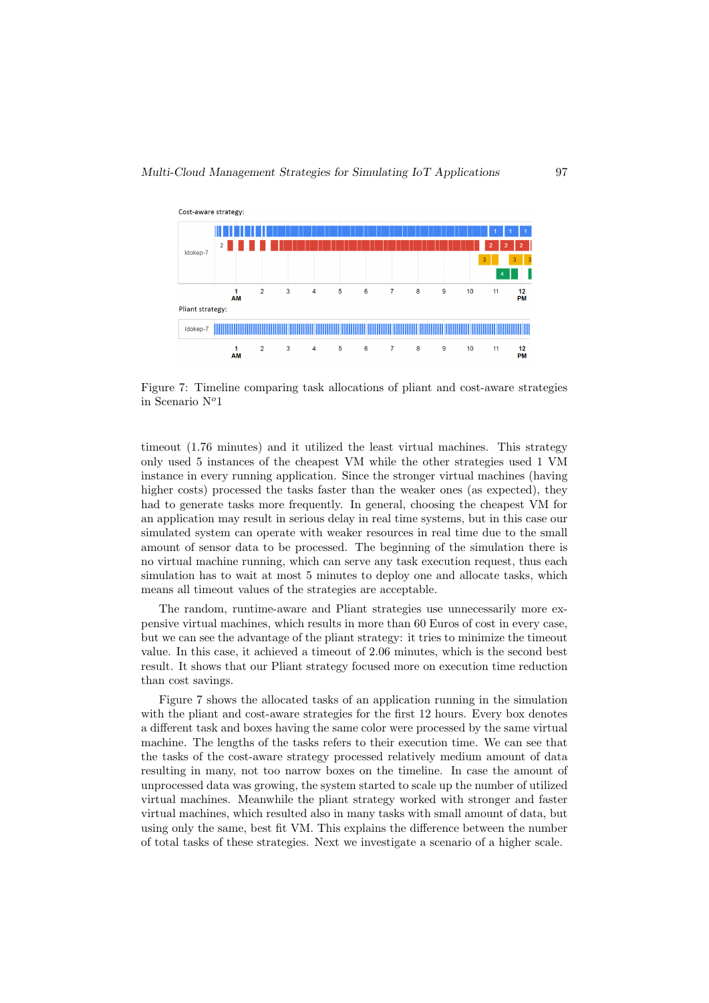

Figure 7: Timeline comparing task allocations of pliant and cost-aware strategies in Scenario  $N^o1$ 

timeout (1.76 minutes) and it utilized the least virtual machines. This strategy only used 5 instances of the cheapest VM while the other strategies used 1 VM instance in every running application. Since the stronger virtual machines (having higher costs) processed the tasks faster than the weaker ones (as expected), they had to generate tasks more frequently. In general, choosing the cheapest VM for an application may result in serious delay in real time systems, but in this case our simulated system can operate with weaker resources in real time due to the small amount of sensor data to be processed. The beginning of the simulation there is no virtual machine running, which can serve any task execution request, thus each simulation has to wait at most 5 minutes to deploy one and allocate tasks, which means all timeout values of the strategies are acceptable.

The random, runtime-aware and Pliant strategies use unnecessarily more expensive virtual machines, which results in more than 60 Euros of cost in every case, but we can see the advantage of the pliant strategy: it tries to minimize the timeout value. In this case, it achieved a timeout of 2.06 minutes, which is the second best result. It shows that our Pliant strategy focused more on execution time reduction than cost savings.

Figure 7 shows the allocated tasks of an application running in the simulation with the pliant and cost-aware strategies for the first 12 hours. Every box denotes a different task and boxes having the same color were processed by the same virtual machine. The lengths of the tasks refers to their execution time. We can see that the tasks of the cost-aware strategy processed relatively medium amount of data resulting in many, not too narrow boxes on the timeline. In case the amount of unprocessed data was growing, the system started to scale up the number of utilized virtual machines. Meanwhile the pliant strategy worked with stronger and faster virtual machines, which resulted also in many tasks with small amount of data, but using only the same, best fit VM. This explains the difference between the number of total tasks of these strategies. Next we investigate a scenario of a higher scale.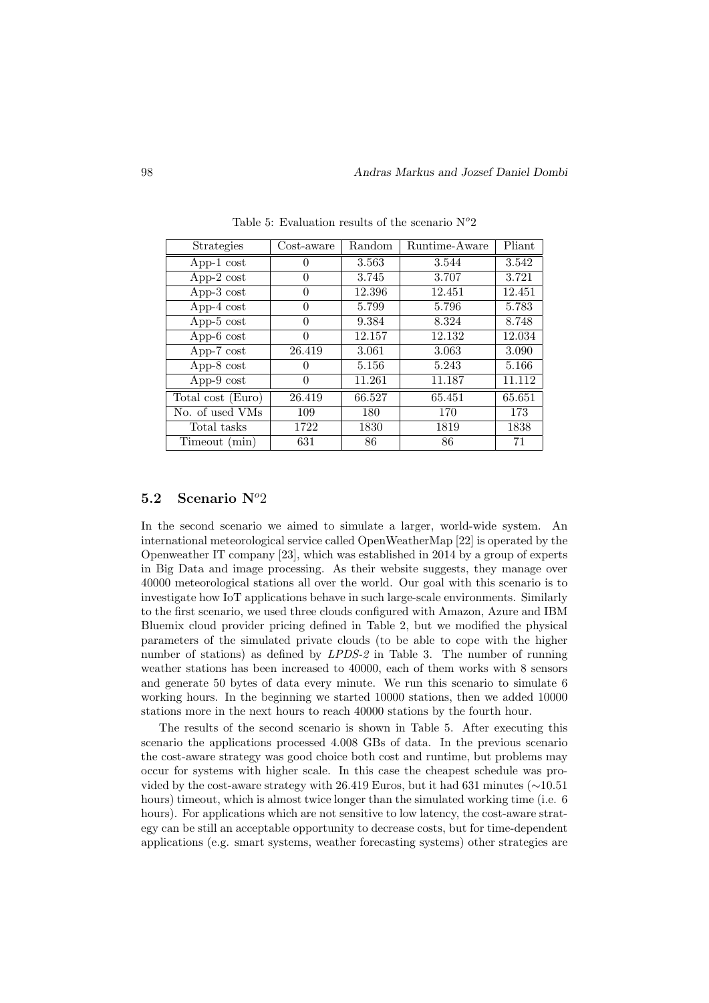| <b>Strategies</b>     | Cost-aware | Random | Runtime-Aware | Pliant |
|-----------------------|------------|--------|---------------|--------|
| App-1 $cost$          |            | 3.563  | 3.544         | 3.542  |
| App- $2 \text{ cost}$ | 0          | 3.745  | 3.707         | 3.721  |
| App- $3 \text{ cost}$ | 0          | 12.396 | 12.451        | 12.451 |
| App-4 $cost$          | 0          | 5.799  | 5.796         | 5.783  |
| App- $5 \text{ cost}$ | 0          | 9.384  | 8.324         | 8.748  |
| App- $6 \cos t$       | O          | 12.157 | 12.132        | 12.034 |
| App- $7 \text{ cost}$ | 26.419     | 3.061  | 3.063         | 3.090  |
| App-8 cost            |            | 5.156  | 5.243         | 5.166  |
| $App-9 cost$          | 0          | 11.261 | 11.187        | 11.112 |
| Total cost (Euro)     | 26.419     | 66.527 | 65.451        | 65.651 |
| No. of used VMs       | 109        | 180    | 170           | 173    |
| Total tasks           | 1722       | 1830   | 1819          | 1838   |
| Timeout (min)         | 631        | 86     | 86            | 71     |

Table 5: Evaluation results of the scenario  $N^o2$ 

#### 5.2 Scenario  $N^o2$

In the second scenario we aimed to simulate a larger, world-wide system. An international meteorological service called OpenWeatherMap [22] is operated by the Openweather IT company [23], which was established in 2014 by a group of experts in Big Data and image processing. As their website suggests, they manage over 40000 meteorological stations all over the world. Our goal with this scenario is to investigate how IoT applications behave in such large-scale environments. Similarly to the first scenario, we used three clouds configured with Amazon, Azure and IBM Bluemix cloud provider pricing defined in Table 2, but we modified the physical parameters of the simulated private clouds (to be able to cope with the higher number of stations) as defined by *LPDS-2* in Table 3. The number of running weather stations has been increased to 40000, each of them works with 8 sensors and generate 50 bytes of data every minute. We run this scenario to simulate 6 working hours. In the beginning we started 10000 stations, then we added 10000 stations more in the next hours to reach 40000 stations by the fourth hour.

The results of the second scenario is shown in Table 5. After executing this scenario the applications processed 4.008 GBs of data. In the previous scenario the cost-aware strategy was good choice both cost and runtime, but problems may occur for systems with higher scale. In this case the cheapest schedule was provided by the cost-aware strategy with 26.419 Euros, but it had 631 minutes (∼10.51 hours) timeout, which is almost twice longer than the simulated working time (i.e. 6 hours). For applications which are not sensitive to low latency, the cost-aware strategy can be still an acceptable opportunity to decrease costs, but for time-dependent applications (e.g. smart systems, weather forecasting systems) other strategies are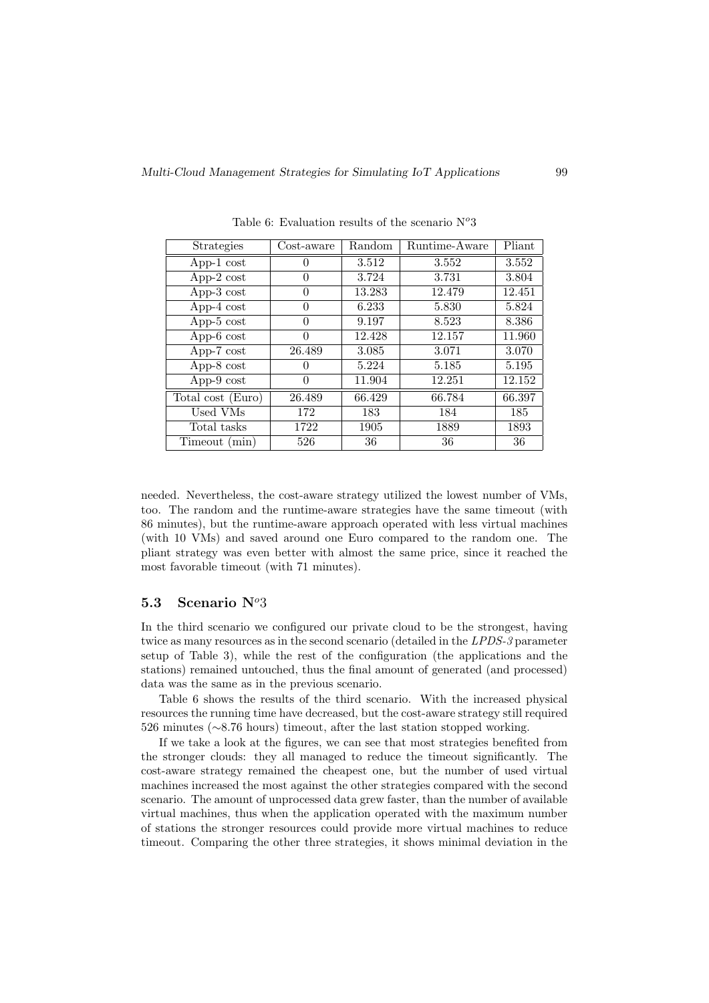| Strategies            | Cost-aware | Random | Runtime-Aware | Pliant |
|-----------------------|------------|--------|---------------|--------|
| App-1 $cost$          | 0          | 3.512  | 3.552         | 3.552  |
| App-2 $cost$          | $\theta$   | 3.724  | 3.731         | 3.804  |
| App- $3 \text{ cost}$ | 0          | 13.283 | 12.479        | 12.451 |
| App-4 $cost$          | $\Omega$   | 6.233  | 5.830         | 5.824  |
| App- $5 \text{ cost}$ | $\theta$   | 9.197  | 8.523         | 8.386  |
| App- $6 \text{ cost}$ | 0          | 12.428 | 12.157        | 11.960 |
| App- $7 \text{ cost}$ | 26.489     | 3.085  | 3.071         | 3.070  |
| App- $8 \text{ cost}$ |            | 5.224  | 5.185         | 5.195  |
| App- $9$ cost         | $\Omega$   | 11.904 | 12.251        | 12.152 |
| Total cost (Euro)     | 26.489     | 66.429 | 66.784        | 66.397 |
| Used VMs              | 172        | 183    | 184           | 185    |
| Total tasks           | 1722       | 1905   | 1889          | 1893   |
| Timeout (min)         | 526        | 36     | 36            | 36     |

Table 6: Evaluation results of the scenario  $N^o3$ 

needed. Nevertheless, the cost-aware strategy utilized the lowest number of VMs, too. The random and the runtime-aware strategies have the same timeout (with 86 minutes), but the runtime-aware approach operated with less virtual machines (with 10 VMs) and saved around one Euro compared to the random one. The pliant strategy was even better with almost the same price, since it reached the most favorable timeout (with 71 minutes).

## 5.3 Scenario  $N^{\circ}3$

In the third scenario we configured our private cloud to be the strongest, having twice as many resources as in the second scenario (detailed in the LPDS-3 parameter setup of Table 3), while the rest of the configuration (the applications and the stations) remained untouched, thus the final amount of generated (and processed) data was the same as in the previous scenario.

Table 6 shows the results of the third scenario. With the increased physical resources the running time have decreased, but the cost-aware strategy still required 526 minutes (∼8.76 hours) timeout, after the last station stopped working.

If we take a look at the figures, we can see that most strategies benefited from the stronger clouds: they all managed to reduce the timeout significantly. The cost-aware strategy remained the cheapest one, but the number of used virtual machines increased the most against the other strategies compared with the second scenario. The amount of unprocessed data grew faster, than the number of available virtual machines, thus when the application operated with the maximum number of stations the stronger resources could provide more virtual machines to reduce timeout. Comparing the other three strategies, it shows minimal deviation in the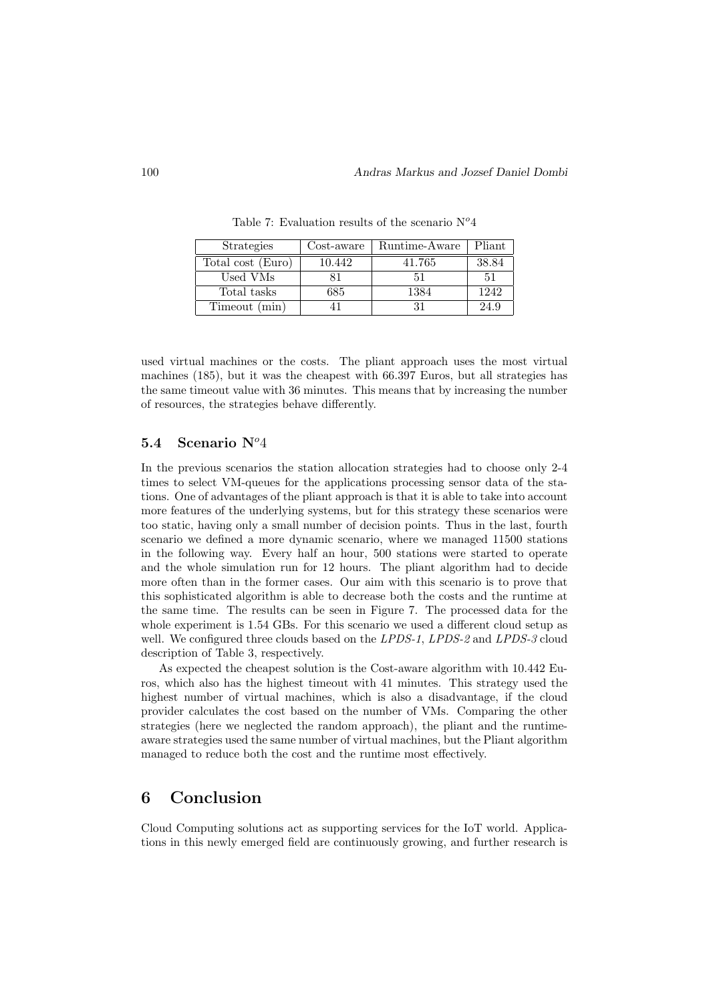| <b>Strategies</b> | Cost-aware | Runtime-Aware | Pliant |
|-------------------|------------|---------------|--------|
| Total cost (Euro) | 10.442     | 41.765        | 38.84  |
| Used VMs          |            | 51            | 51     |
| Total tasks       | 685        | 1384          | 1242   |
| Timeout (min)     |            | 31            | 24.9   |

Table 7: Evaluation results of the scenario  $N^o4$ 

used virtual machines or the costs. The pliant approach uses the most virtual machines (185), but it was the cheapest with 66.397 Euros, but all strategies has the same timeout value with 36 minutes. This means that by increasing the number of resources, the strategies behave differently.

## 5.4 Scenario  $N^o4$

In the previous scenarios the station allocation strategies had to choose only 2-4 times to select VM-queues for the applications processing sensor data of the stations. One of advantages of the pliant approach is that it is able to take into account more features of the underlying systems, but for this strategy these scenarios were too static, having only a small number of decision points. Thus in the last, fourth scenario we defined a more dynamic scenario, where we managed 11500 stations in the following way. Every half an hour, 500 stations were started to operate and the whole simulation run for 12 hours. The pliant algorithm had to decide more often than in the former cases. Our aim with this scenario is to prove that this sophisticated algorithm is able to decrease both the costs and the runtime at the same time. The results can be seen in Figure 7. The processed data for the whole experiment is 1.54 GBs. For this scenario we used a different cloud setup as well. We configured three clouds based on the LPDS-1, LPDS-2 and LPDS-3 cloud description of Table 3, respectively.

As expected the cheapest solution is the Cost-aware algorithm with 10.442 Euros, which also has the highest timeout with 41 minutes. This strategy used the highest number of virtual machines, which is also a disadvantage, if the cloud provider calculates the cost based on the number of VMs. Comparing the other strategies (here we neglected the random approach), the pliant and the runtimeaware strategies used the same number of virtual machines, but the Pliant algorithm managed to reduce both the cost and the runtime most effectively.

# 6 Conclusion

Cloud Computing solutions act as supporting services for the IoT world. Applications in this newly emerged field are continuously growing, and further research is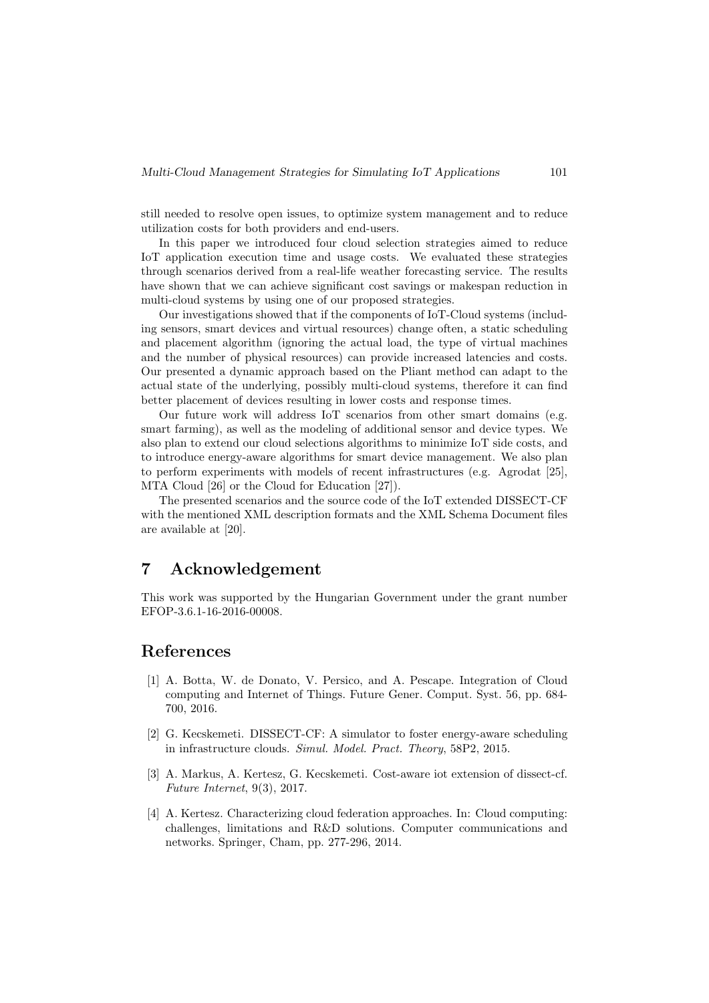still needed to resolve open issues, to optimize system management and to reduce utilization costs for both providers and end-users.

In this paper we introduced four cloud selection strategies aimed to reduce IoT application execution time and usage costs. We evaluated these strategies through scenarios derived from a real-life weather forecasting service. The results have shown that we can achieve significant cost savings or makespan reduction in multi-cloud systems by using one of our proposed strategies.

Our investigations showed that if the components of IoT-Cloud systems (including sensors, smart devices and virtual resources) change often, a static scheduling and placement algorithm (ignoring the actual load, the type of virtual machines and the number of physical resources) can provide increased latencies and costs. Our presented a dynamic approach based on the Pliant method can adapt to the actual state of the underlying, possibly multi-cloud systems, therefore it can find better placement of devices resulting in lower costs and response times.

Our future work will address IoT scenarios from other smart domains (e.g. smart farming), as well as the modeling of additional sensor and device types. We also plan to extend our cloud selections algorithms to minimize IoT side costs, and to introduce energy-aware algorithms for smart device management. We also plan to perform experiments with models of recent infrastructures (e.g. Agrodat [25], MTA Cloud [26] or the Cloud for Education [27]).

The presented scenarios and the source code of the IoT extended DISSECT-CF with the mentioned XML description formats and the XML Schema Document files are available at [20].

# 7 Acknowledgement

This work was supported by the Hungarian Government under the grant number EFOP-3.6.1-16-2016-00008.

# References

- [1] A. Botta, W. de Donato, V. Persico, and A. Pescape. Integration of Cloud computing and Internet of Things. Future Gener. Comput. Syst. 56, pp. 684- 700, 2016.
- [2] G. Kecskemeti. DISSECT-CF: A simulator to foster energy-aware scheduling in infrastructure clouds. Simul. Model. Pract. Theory, 58P2, 2015.
- [3] A. Markus, A. Kertesz, G. Kecskemeti. Cost-aware iot extension of dissect-cf. Future Internet, 9(3), 2017.
- [4] A. Kertesz. Characterizing cloud federation approaches. In: Cloud computing: challenges, limitations and R&D solutions. Computer communications and networks. Springer, Cham, pp. 277-296, 2014.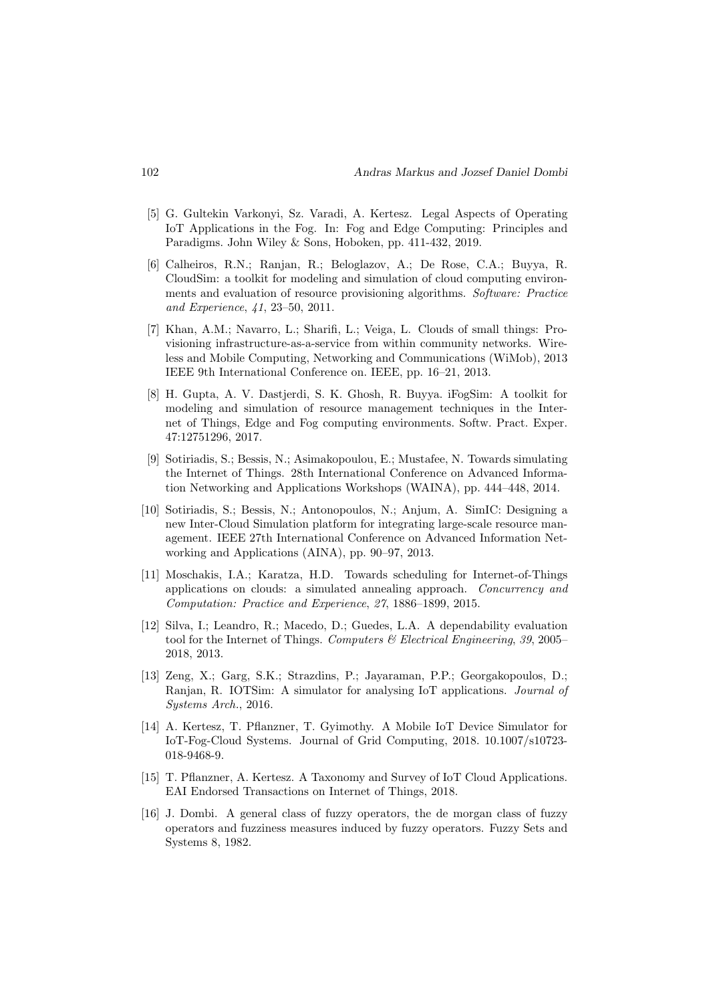- [5] G. Gultekin Varkonyi, Sz. Varadi, A. Kertesz. Legal Aspects of Operating IoT Applications in the Fog. In: Fog and Edge Computing: Principles and Paradigms. John Wiley & Sons, Hoboken, pp. 411-432, 2019.
- [6] Calheiros, R.N.; Ranjan, R.; Beloglazov, A.; De Rose, C.A.; Buyya, R. CloudSim: a toolkit for modeling and simulation of cloud computing environments and evaluation of resource provisioning algorithms. Software: Practice and Experience, 41, 23–50, 2011.
- [7] Khan, A.M.; Navarro, L.; Sharifi, L.; Veiga, L. Clouds of small things: Provisioning infrastructure-as-a-service from within community networks. Wireless and Mobile Computing, Networking and Communications (WiMob), 2013 IEEE 9th International Conference on. IEEE, pp. 16–21, 2013.
- [8] H. Gupta, A. V. Dastjerdi, S. K. Ghosh, R. Buyya. iFogSim: A toolkit for modeling and simulation of resource management techniques in the Internet of Things, Edge and Fog computing environments. Softw. Pract. Exper. 47:12751296, 2017.
- [9] Sotiriadis, S.; Bessis, N.; Asimakopoulou, E.; Mustafee, N. Towards simulating the Internet of Things. 28th International Conference on Advanced Information Networking and Applications Workshops (WAINA), pp. 444–448, 2014.
- [10] Sotiriadis, S.; Bessis, N.; Antonopoulos, N.; Anjum, A. SimIC: Designing a new Inter-Cloud Simulation platform for integrating large-scale resource management. IEEE 27th International Conference on Advanced Information Networking and Applications (AINA), pp. 90–97, 2013.
- [11] Moschakis, I.A.; Karatza, H.D. Towards scheduling for Internet-of-Things applications on clouds: a simulated annealing approach. Concurrency and Computation: Practice and Experience, 27, 1886–1899, 2015.
- [12] Silva, I.; Leandro, R.; Macedo, D.; Guedes, L.A. A dependability evaluation tool for the Internet of Things. Computers & Electrical Engineering, 39, 2005– 2018, 2013.
- [13] Zeng, X.; Garg, S.K.; Strazdins, P.; Jayaraman, P.P.; Georgakopoulos, D.; Ranjan, R. IOTSim: A simulator for analysing IoT applications. Journal of Systems Arch., 2016.
- [14] A. Kertesz, T. Pflanzner, T. Gyimothy. A Mobile IoT Device Simulator for IoT-Fog-Cloud Systems. Journal of Grid Computing, 2018. 10.1007/s10723- 018-9468-9.
- [15] T. Pflanzner, A. Kertesz. A Taxonomy and Survey of IoT Cloud Applications. EAI Endorsed Transactions on Internet of Things, 2018.
- [16] J. Dombi. A general class of fuzzy operators, the de morgan class of fuzzy operators and fuzziness measures induced by fuzzy operators. Fuzzy Sets and Systems 8, 1982.